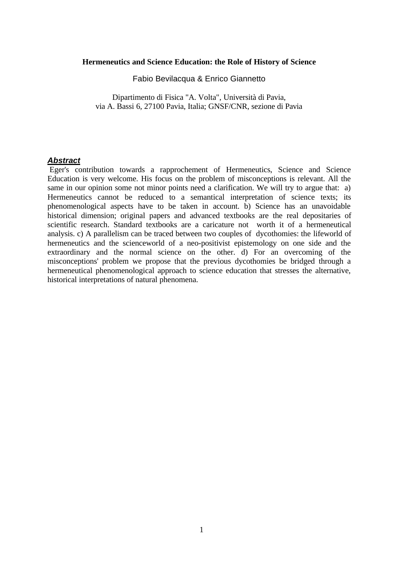#### **Hermeneutics and Science Education: the Role of History of Science**

Fabio Bevilacqua & Enrico Giannetto

Dipartimento di Fisica "A. Volta", Università di Pavia, via A. Bassi 6, 27100 Pavia, Italia; GNSF/CNR, sezione di Pavia

## *Abstract*

Eger's contribution towards a rapprochement of Hermeneutics, Science and Science Education is very welcome. His focus on the problem of misconceptions is relevant. All the same in our opinion some not minor points need a clarification. We will try to argue that: a) Hermeneutics cannot be reduced to a semantical interpretation of science texts; its phenomenological aspects have to be taken in account. b) Science has an unavoidable historical dimension; original papers and advanced textbooks are the real depositaries of scientific research. Standard textbooks are a caricature not worth it of a hermeneutical analysis. c) A parallelism can be traced between two couples of dycothomies: the lifeworld of hermeneutics and the scienceworld of a neo-positivist epistemology on one side and the extraordinary and the normal science on the other. d) For an overcoming of the misconceptions' problem we propose that the previous dycothomies be bridged through a hermeneutical phenomenological approach to science education that stresses the alternative, historical interpretations of natural phenomena.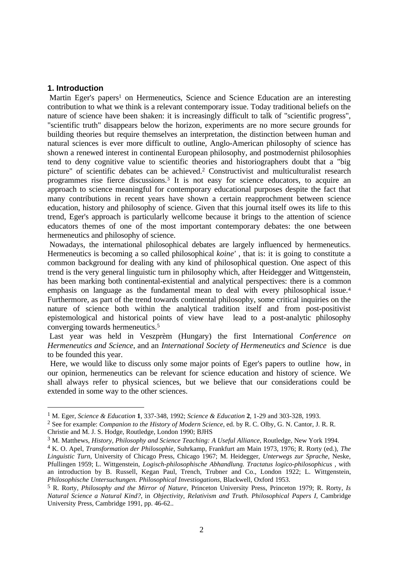### **1. Introduction**

 $\overline{a}$ 

Martin Eger's papers<sup>1</sup> on Hermeneutics, Science and Science Education are an interesting contribution to what we think is a relevant contemporary issue. Today traditional beliefs on the nature of science have been shaken: it is increasingly difficult to talk of "scientific progress", "scientific truth" disappears below the horizon, experiments are no more secure grounds for building theories but require themselves an interpretation, the distinction between human and natural sciences is ever more difficult to outline, Anglo-American philosophy of science has shown a renewed interest in continental European philosophy, and postmodernist philosophies tend to deny cognitive value to scientific theories and historiographers doubt that a "big picture" of scientific debates can be achieved.<sup>2</sup> Constructivist and multiculturalist research programmes rise fierce discussions.<sup>3</sup> It is not easy for science educators, to acquire an approach to science meaningful for contemporary educational purposes despite the fact that many contributions in recent years have shown a certain reapprochment between science education, history and philosophy of science. Given that this journal itself owes its life to this trend, Eger's approach is particularly wellcome because it brings to the attention of science educators themes of one of the most important contemporary debates: the one between hermeneutics and philosophy of science.

 Nowadays, the international philosophical debates are largely influenced by hermeneutics. Hermeneutics is becoming a so called philosophical *koine'* , that is: it is going to constitute a common background for dealing with any kind of philosophical question. One aspect of this trend is the very general linguistic turn in philosophy which, after Heidegger and Wittgenstein, has been marking both continental-existential and analytical perspectives: there is a common emphasis on language as the fundamental mean to deal with every philosophical issue.<sup>4</sup> Furthermore, as part of the trend towards continental philosophy, some critical inquiries on the nature of science both within the analytical tradition itself and from post-positivist epistemological and historical points of view have lead to a post-analytic philosophy converging towards hermeneutics.<sup>5</sup>

 Last year was held in Veszprèm (Hungary) the first International *Conference on Hermeneutics and Science*, and an *International Society of Hermeneutics and Science* is due to be founded this year.

 Here, we would like to discuss only some major points of Eger's papers to outline how, in our opinion, hermeneutics can be relevant for science education and history of science. We shall always refer to physical sciences, but we believe that our considerations could be extended in some way to the other sciences.

<sup>1</sup> M. Eger, *Science & Education* **1**, 337-348, 1992; *Science & Education* **2**, 1-29 and 303-328, 1993.

<sup>2</sup> See for example: *Companion to the History of Modern Science*, ed. by R. C. Olby, G. N. Cantor, J. R. R. Christie and M. J. S. Hodge, Routledge, London 1990; BJHS

<sup>3</sup> M. Matthews, *History, Philosophy and Science Teaching: A Useful Alliance*, Routledge, New York 1994.

<sup>4</sup> K. O. Apel, *Transformation der Philosophie*, Suhrkamp, Frankfurt am Main 1973, 1976; R. Rorty (ed.), *The Linguistic Turn*, University of Chicago Press, Chicago 1967; M. Heidegger, *Unterwegs zur Sprache*, Neske, Pfullingen 1959; L. Wittgenstein, *Logisch-philosophische Abhandlung. Tractatus logico-philosophicus* , with an introduction by B. Russell, Kegan Paul, Trench, Trubner and Co., London 1922; L. Wittgenstein, *Philosophische Untersuchungen. Philosophical Investiogations*, Blackwell, Oxford 1953.

<sup>5</sup> R. Rorty, *Philosophy and the Mirror of Nature*, Princeton University Press, Princeton 1979; R. Rorty, *Is Natural Science a Natural Kind?*, in *Objectivity, Relativism and Truth. Philosophical Papers I*, Cambridge University Press, Cambridge 1991, pp. 46-62..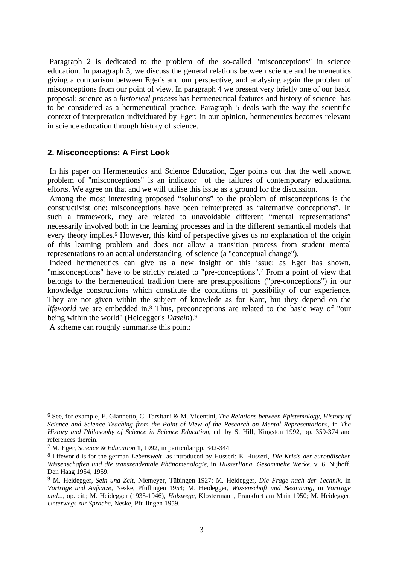Paragraph 2 is dedicated to the problem of the so-called "misconceptions" in science education. In paragraph 3, we discuss the general relations between science and hermeneutics giving a comparison between Eger's and our perspective, and analysing again the problem of misconceptions from our point of view. In paragraph 4 we present very briefly one of our basic proposal: science as a *historical process* has hermeneutical features and history of science has to be considered as a hermeneutical practice. Paragraph 5 deals with the way the scientific context of interpretation individuated by Eger: in our opinion, hermeneutics becomes relevant in science education through history of science.

## **2. Misconceptions: A First Look**

 In his paper on Hermeneutics and Science Education, Eger points out that the well known problem of "misconceptions" is an indicator of the failures of contemporary educational efforts. We agree on that and we will utilise this issue as a ground for the discussion.

 Among the most interesting proposed "solutions" to the problem of misconceptions is the constructivist one: misconceptions have been reinterpreted as "alternative conceptions". In such a framework, they are related to unavoidable different "mental representations" necessarily involved both in the learning processes and in the different semantical models that every theory implies.<sup>6</sup> However, this kind of perspective gives us no explanation of the origin of this learning problem and does not allow a transition process from student mental representations to an actual understanding of science (a "conceptual change").

 Indeed hermeneutics can give us a new insight on this issue: as Eger has shown, "misconceptions" have to be strictly related to "pre-conceptions".<sup>7</sup> From a point of view that belongs to the hermeneutical tradition there are presuppositions ("pre-conceptions") in our knowledge constructions which constitute the conditions of possibility of our experience. They are not given within the subject of knowlede as for Kant, but they depend on the *lifeworld* we are embedded in.<sup>8</sup> Thus, preconceptions are related to the basic way of "our being within the world" (Heidegger's *Dasein*).<sup>9</sup>

A scheme can roughly summarise this point:

<sup>6</sup> See, for example, E. Giannetto, C. Tarsitani & M. Vicentini, *The Relations between Epistemology, History of Science and Science Teaching from the Point of View of the Research on Mental Representations*, in *The History and Philosophy of Science in Science Education*, ed. by S. Hill, Kingston 1992, pp. 359-374 and references therein.

<sup>7</sup> M. Eger, *Science & Education* **1**, 1992, in particular pp. 342-344

<sup>8</sup> Lifeworld is for the german *Lebenswelt* as introduced by Husserl: E. Husserl, *Die Krisis der europäischen Wissenschaften und die transzendentale Phänomenologie*, in *Husserliana*, *Gesammelte Werke*, v. 6, Nijhoff, Den Haag 1954, 1959.

<sup>9</sup> M. Heidegger, *Sein und Zeit*, Niemeyer, Tübingen 1927; M. Heidegger, *Die Frage nach der Technik*, in *Vorträge und Aufsätze*, Neske, Pfullingen 1954; M. Heidegger, *Wissenschaft und Besinnung*, in *Vorträge und...*, op. cit.; M. Heidegger (1935-1946), *Holzwege*, Klostermann, Frankfurt am Main 1950; M. Heidegger, *Unterwegs zur Sprache*, Neske, Pfullingen 1959.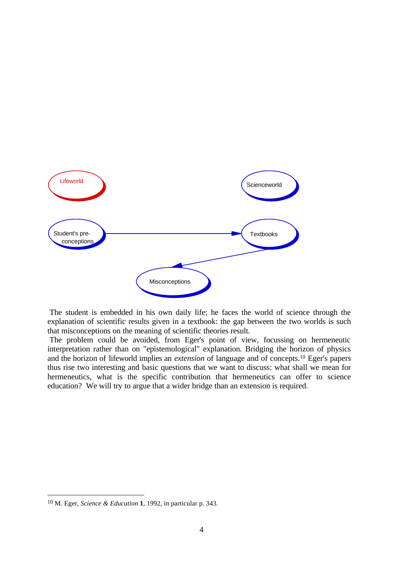

 The student is embedded in his own daily life; he faces the world of science through the explanation of scientific results given in a textbook: the gap between the two worlds is such that misconceptions on the meaning of scientific theories result.

 The problem could be avoided, from Eger's point of view, focussing on hermeneutic interpretation rather than on "epistemological" explanation. Bridging the horizon of physics and the horizon of lifeworld implies an *extension* of language and of concepts.<sup>10</sup> Eger's papers thus rise two interesting and basic questions that we want to discuss: what shall we mean for hermeneutics, what is the specific contribution that hermeneutics can offer to science education? We will try to argue that a wider bridge than an extension is required.

<sup>10</sup> M. Eger, *Science & Education* **1**, 1992, in particular p. 343.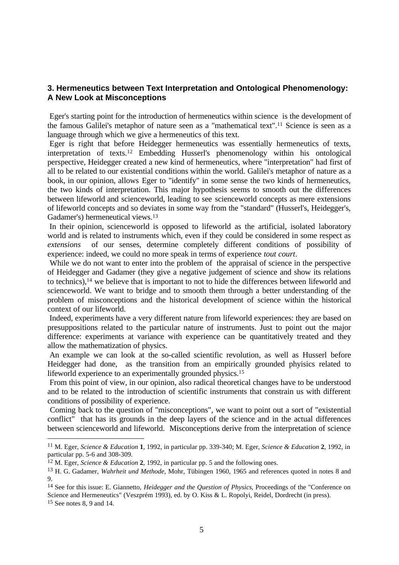# **3. Hermeneutics between Text Interpretation and Ontological Phenomenology: A New Look at Misconceptions**

Eger's starting point for the introduction of hermeneutics within science is the development of the famous Galilei's metaphor of nature seen as a "mathematical text".11 Science is seen as a language through which we give a hermeneutics of this text.

Eger is right that before Heidegger hermeneutics was essentially hermeneutics of texts, interpretation of texts.12 Embedding Husserl's phenomenology within his ontological perspective, Heidegger created a new kind of hermeneutics, where "interpretation" had first of all to be related to our existential conditions within the world. Galilei's metaphor of nature as a book, in our opinion, allows Eger to "identify" in some sense the two kinds of hermeneutics, the two kinds of interpretation. This major hypothesis seems to smooth out the differences between lifeworld and scienceworld, leading to see scienceworld concepts as mere extensions of lifeworld concepts and so deviates in some way from the "standard" (Husserl's, Heidegger's, Gadamer's) hermeneutical views.<sup>13</sup>

 In their opinion, scienceworld is opposed to lifeworld as the artificial, isolated laboratory world and is related to instruments which, even if they could be considered in some respect as *extensions* of our senses, determine completely different conditions of possibility of experience: indeed, we could no more speak in terms of experience *tout court*.

 While we do not want to enter into the problem of the appraisal of science in the perspective of Heidegger and Gadamer (they give a negative judgement of science and show its relations to technics),<sup>14</sup> we believe that is important to not to hide the differences between lifeworld and scienceworld. We want to bridge and to smooth them through a better understanding of the problem of misconceptions and the historical development of science within the historical context of our lifeworld.

 Indeed, experiments have a very different nature from lifeworld experiences: they are based on presuppositions related to the particular nature of instruments. Just to point out the major difference: experiments at variance with experience can be quantitatively treated and they allow the mathematization of physics.

 An example we can look at the so-called scientific revolution, as well as Husserl before Heidegger had done, as the transition from an empirically grounded phyisics related to lifeworld experience to an experimentally grounded physics.<sup>15</sup>

 From this point of view, in our opinion, also radical theoretical changes have to be understood and to be related to the introduction of scientific instruments that constrain us with different conditions of possibility of experience.

 Coming back to the question of "misconceptions", we want to point out a sort of "existential conflict" that has its grounds in the deep layers of the science and in the actual differences between scienceworld and lifeworld. Misconceptions derive from the interpretation of science

<sup>11</sup> M. Eger, *Science & Education* **1**, 1992, in particular pp. 339-340; M. Eger, *Science & Education* **2**, 1992, in particular pp. 5-6 and 308-309.

<sup>12</sup> M. Eger, *Science & Education* **2**, 1992, in particular pp. 5 and the following ones.

<sup>13</sup> H. G. Gadamer, *Wahrheit und Methode*, Mohr, Tübingen 1960, 1965 and references quoted in notes 8 and 9.

<sup>14</sup> See for this issue: E. Giannetto, *Heidegger and the Question of Physics*, Proceedings of the "Conference on Science and Hermeneutics" (Veszprém 1993), ed. by O. Kiss & L. Ropolyi, Reidel, Dordrecht (in press). <sup>15</sup> See notes 8, 9 and 14.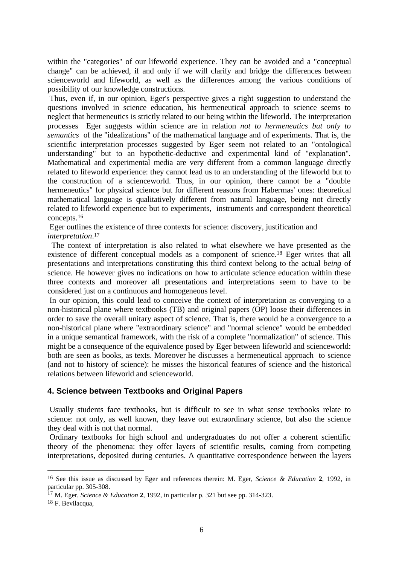within the "categories" of our lifeworld experience. They can be avoided and a "conceptual change" can be achieved, if and only if we will clarify and bridge the differences between scienceworld and lifeworld, as well as the differences among the various conditions of possibility of our knowledge constructions.

 Thus, even if, in our opinion, Eger's perspective gives a right suggestion to understand the questions involved in science education, his hermeneutical approach to science seems to neglect that hermeneutics is strictly related to our being within the lifeworld. The interpretation processes Eger suggests within science are in relation *not to hermeneutics but only to semantics* of the "idealizations" of the mathematical language and of experiments. That is, the scientific interpretation processes suggested by Eger seem not related to an "ontological understanding" but to an hypothetic-deductive and experimental kind of "explanation". Mathematical and experimental media are very different from a common language directly related to lifeworld experience: they cannot lead us to an understanding of the lifeworld but to the construction of a scienceworld. Thus, in our opinion, there cannot be a "double hermeneutics" for physical science but for different reasons from Habermas' ones: theoretical mathematical language is qualitatively different from natural language, being not directly related to lifeworld experience but to experiments, instruments and correspondent theoretical concepts.<sup>16</sup>

Eger outlines the existence of three contexts for science: discovery, justification and *interpretation*. 17

 The context of interpretation is also related to what elsewhere we have presented as the existence of different conceptual models as a component of science.<sup>18</sup> Eger writes that all presentations and interpretations constituting this third context belong to the actual *being* of science. He however gives no indications on how to articulate science education within these three contexts and moreover all presentations and interpretations seem to have to be considered just on a continuous and homogeneous level.

 In our opinion, this could lead to conceive the context of interpretation as converging to a non-historical plane where textbooks (TB) and original papers (OP) loose their differences in order to save the overall unitary aspect of science. That is, there would be a convergence to a non-historical plane where "extraordinary science" and "normal science" would be embedded in a unique semantical framework, with the risk of a complete "normalization" of science. This might be a consequence of the equivalence posed by Eger between lifeworld and scienceworld: both are seen as books, as texts. Moreover he discusses a hermeneutical approach to science (and not to history of science): he misses the historical features of science and the historical relations between lifeworld and scienceworld.

# **4. Science between Textbooks and Original Papers**

 Usually students face textbooks, but is difficult to see in what sense textbooks relate to science: not only, as well known, they leave out extraordinary science, but also the science they deal with is not that normal.

 Ordinary textbooks for high school and undergraduates do not offer a coherent scientific theory of the phenomena: they offer layers of scientific results, coming from competing interpretations, deposited during centuries. A quantitative correspondence between the layers

<sup>16</sup> See this issue as discussed by Eger and references therein: M. Eger, *Science & Education* **2**, 1992, in particular pp. 305-308.

<sup>17</sup> M. Eger, *Science & Education* **2**, 1992, in particular p. 321 but see pp. 314-323.

<sup>18</sup> F. Bevilacqua,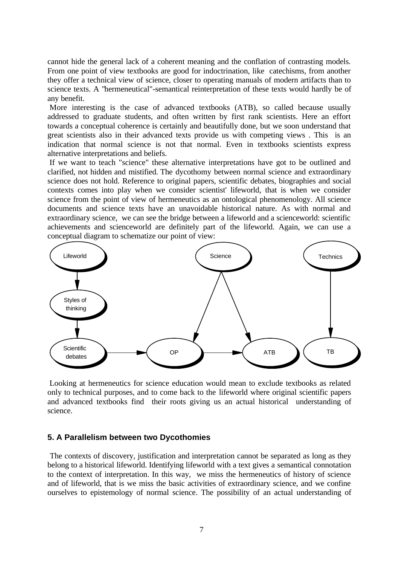cannot hide the general lack of a coherent meaning and the conflation of contrasting models. From one point of view textbooks are good for indoctrination, like catechisms, from another they offer a technical view of science, closer to operating manuals of modern artifacts than to science texts. A "hermeneutical"-semantical reinterpretation of these texts would hardly be of any benefit.

 More interesting is the case of advanced textbooks (ATB), so called because usually addressed to graduate students, and often written by first rank scientists. Here an effort towards a conceptual coherence is certainly and beautifully done, but we soon understand that great scientists also in their advanced texts provide us with competing views . This is an indication that normal science is not that normal. Even in textbooks scientists express alternative interpretations and beliefs.

 If we want to teach "science" these alternative interpretations have got to be outlined and clarified, not hidden and mistified. The dycothomy between normal science and extraordinary science does not hold. Reference to original papers, scientific debates, biographies and social contexts comes into play when we consider scientist' lifeworld, that is when we consider science from the point of view of hermeneutics as an ontological phenomenology. All science documents and science texts have an unavoidable historical nature. As with normal and extraordinary science, we can see the bridge between a lifeworld and a scienceworld: scientific achievements and scienceworld are definitely part of the lifeworld. Again, we can use a conceptual diagram to schematize our point of view:



 Looking at hermeneutics for science education would mean to exclude textbooks as related only to technical purposes, and to come back to the lifeworld where original scientific papers and advanced textbooks find their roots giving us an actual historical understanding of science.

### **5. A Parallelism between two Dycothomies**

 The contexts of discovery, justification and interpretation cannot be separated as long as they belong to a historical lifeworld. Identifying lifeworld with a text gives a semantical connotation to the context of interpretation. In this way, we miss the hermeneutics of history of science and of lifeworld, that is we miss the basic activities of extraordinary science, and we confine ourselves to epistemology of normal science. The possibility of an actual understanding of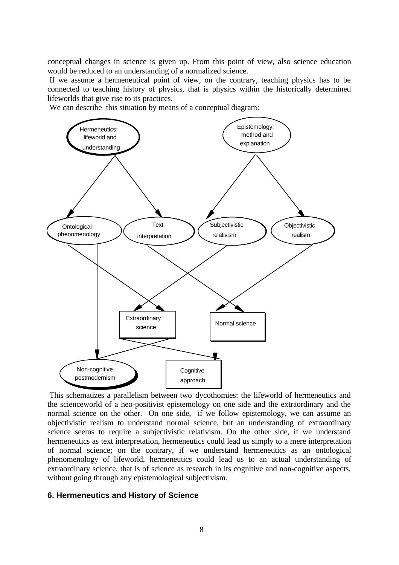conceptual changes in science is given up. From this point of view, also science education would be reduced to an understanding of a normalized science.

 If we assume a hermeneutical point of view, on the contrary, teaching physics has to be connected to teaching history of physics, that is physics within the historically determined lifeworlds that give rise to its practices.

We can describe this situation by means of a conceptual diagram:



 This schematizes a parallelism between two dycothomies: the lifeworld of hermeneutics and the scienceworld of a neo-positivist epistemology on one side and the extraordinary and the normal science on the other. On one side, if we follow epistemology, we can assume an objectivistic realism to understand normal science, but an understanding of extraordinary science seems to require a subjectivistic relativism. On the other side, if we understand hermeneutics as text interpretation, hermeneutics could lead us simply to a mere interpretation of normal science; on the contrary, if we understand hermeneutics as an ontological phenomenology of lifeworld, hermeneutics could lead us to an actual understanding of extraordinary science, that is of science as research in its cognitive and non-cognitive aspects, without going through any epistemological subjectivism.

### **6. Hermeneutics and History of Science**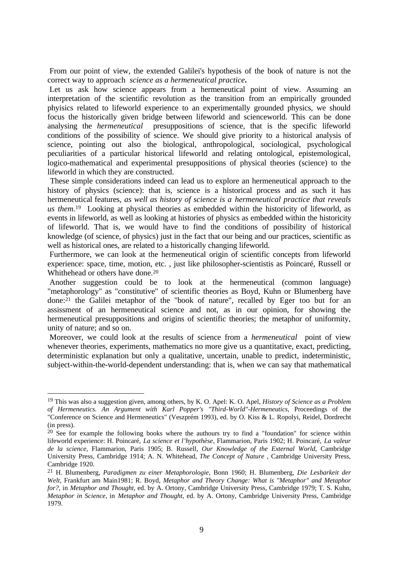From our point of view, the extended Galilei's hypothesis of the book of nature is not the correct way to approach *science as a hermeneutical practice***.**

 Let us ask how science appears from a hermeneutical point of view. Assuming an interpretation of the scientific revolution as the transition from an empirically grounded phyisics related to lifeworld experience to an experimentally grounded physics, we should focus the historically given bridge between lifeworld and scienceworld. This can be done analysing the *hermeneutical* presuppositions of science, that is the specific lifeworld conditions of the possibility of science. We should give priority to a historical analysis of science, pointing out also the biological, anthropological, sociological, psychological peculiarities of a particular historical lifeworld and relating ontological, epistemological, logico-mathematical and experimental presuppositions of physical theories (science) to the lifeworld in which they are constructed.

 These simple considerations indeed can lead us to explore an hermeneutical approach to the history of physics (science): that is, science is a historical process and as such it has hermeneutical features, *as well as history of science is a hermeneutical practice that reveals us them*. <sup>19</sup> Looking at physical theories as embedded within the historicity of lifeworld, as events in lifeworld, as well as looking at histories of physics as embedded within the historicity of lifeworld. That is, we would have to find the conditions of possibility of historical knowledge (of science, of physics) just in the fact that our being and our practices, scientific as well as historical ones, are related to a historically changing lifeworld.

Furthermore, we can look at the hermeneutical origin of scientific concepts from lifeworld experience: space, time, motion, etc. , just like philosopher-scientistis as Poincaré, Russell or Whithehead or others have done.<sup>20</sup>

 Another suggestion could be to look at the hermeneutical (common language) "metaphorology" as "constitutive" of scientific theories as Boyd, Kuhn or Blumenberg have done:21 the Galilei metaphor of the "book of nature", recalled by Eger too but for an assissment of an hermeneutical science and not, as in our opinion, for showing the hermeneutical presuppositions and origins of scientific theories; the metaphor of uniformity, unity of nature; and so on.

 Moreover, we could look at the results of science from a *hermeneutical* point of view whenever theories, experiments, mathematics no more give us a quantitative, exact, predicting, deterministic explanation but only a qualitative, uncertain, unable to predict, indeterministic, subject-within-the-world-dependent understanding: that is, when we can say that mathematical

<sup>19</sup> This was also a suggestion given, among others, by K. O. Apel: K. O. Apel, *History of Science as a Problem of Hermeneutics. An Argument with Karl Popper's "Third-World"-Hermeneutics*, Proceedings of the "Conference on Science and Hermeneutics" (Veszprém 1993), ed. by O. Kiss & L. Ropolyi, Reidel, Dordrecht (in press).

<sup>&</sup>lt;sup>20</sup> See for example the following books where the authours try to find a "foundation" for science within lifeworld experience: H. Poincaré, *La science et l'hypothèse*, Flammarion, Paris 1902; H. Poincaré, *La valeur de la science*, Flammarion, Paris 1905; B. Russell, *Our Knowledge of the External World*, Cambridge University Press, Cambridge 1914; A. N. Whitehead, *The Concept of Nature* , Cambridge University Press, Cambridge 1920.

<sup>21</sup> H. Blumenberg, *Paradigmen zu einer Metaphorologie*, Bonn 1960; H. Blumenberg, *Die Lesbarkeit der Welt*, Frankfurt am Main1981; R. Boyd, *Metaphor and Theory Change: What is "Metaphor" and Metaphor for?*, in *Metaphor and Thought*, ed. by A. Ortony, Cambridge University Press, Cambridge 1979; T. S. Kuhn, *Metaphor in Science*, in *Metaphor and Thought*, ed. by A. Ortony, Cambridge University Press, Cambridge 1979.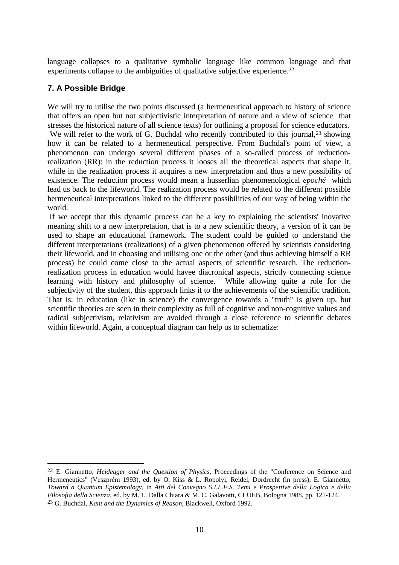language collapses to a qualitative symbolic language like common language and that experiments collapse to the ambiguities of qualitative subjective experience.<sup>22</sup>

# **7. A Possible Bridge**

 $\overline{a}$ 

We will try to utilise the two points discussed (a hermeneutical approach to history of science that offers an open but not subjectivistic interpretation of nature and a view of science that stresses the historical nature of all science texts) for outlining a proposal for science educators.

We will refer to the work of G. Buchdal who recently contributed to this journal,<sup>23</sup> showing how it can be related to a hermeneutical perspective. From Buchdal's point of view, a phenomenon can undergo several different phases of a so-called process of reductionrealization (RR): in the reduction process it looses all the theoretical aspects that shape it, while in the realization process it acquires a new interpretation and thus a new possibility of existence. The reduction process would mean a husserlian phenomenological *epoché* which lead us back to the lifeworld. The realization process would be related to the different possible hermeneutical interpretations linked to the different possibilities of our way of being within the world.

 If we accept that this dynamic process can be a key to explaining the scientists' inovative meaning shift to a new interpretation, that is to a new scientific theory, a version of it can be used to shape an educational framework. The student could be guided to understand the different interpretations (realizations) of a given phenomenon offered by scientists considering their lifeworld, and in choosing and utilising one or the other (and thus achieving himself a RR process) he could come close to the actual aspects of scientific research. The reductionrealization process in education would havee diacronical aspects, strictly connecting science learning with history and philosophy of science. While allowing quite a role for the subjectivity of the student, this approach links it to the achievements of the scientific tradition. That is: in education (like in science) the convergence towards a "truth" is given up, but scientific theories are seen in their complexity as full of cognitive and non-cognitive values and radical subjectivism, relativism are avoided through a close reference to scientific debates within lifeworld. Again, a conceptual diagram can help us to schematize:

<sup>22</sup> E. Giannetto, *Heidegger and the Question of Physics*, Proceedings of the "Conference on Science and Hermeneutics" (Veszprém 1993), ed. by O. Kiss & L. Ropolyi, Reidel, Dordrecht (in press); E. Giannetto, *Toward a Quantum Epistemology*, in *Atti del Convegno S.I.L.F.S. Temi e Prospettive della Logica e della Filosofia della Scienza*, ed. by M. L. Dalla Chiara & M. C. Galavotti, CLUEB, Bologna 1988, pp. 121-124. <sup>23</sup> G. Buchdal, *Kant and the Dynamics of Reason*, Blackwell, Oxford 1992.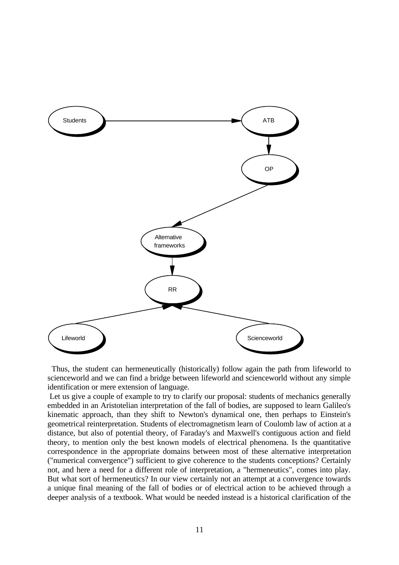

 Thus, the student can hermeneutically (historically) follow again the path from lifeworld to scienceworld and we can find a bridge between lifeworld and scienceworld without any simple identification or mere extension of language.

 Let us give a couple of example to try to clarify our proposal: students of mechanics generally embedded in an Aristotelian interpretation of the fall of bodies, are supposed to learn Galileo's kinematic approach, than they shift to Newton's dynamical one, then perhaps to Einstein's geometrical reinterpretation. Students of electromagnetism learn of Coulomb law of action at a distance, but also of potential theory, of Faraday's and Maxwell's contiguous action and field theory, to mention only the best known models of electrical phenomena. Is the quantitative correspondence in the appropriate domains between most of these alternative interpretation ("numerical convergence") sufficient to give coherence to the students conceptions? Certainly not, and here a need for a different role of interpretation, a "hermeneutics", comes into play. But what sort of hermeneutics? In our view certainly not an attempt at a convergence towards a unique final meaning of the fall of bodies or of electrical action to be achieved through a deeper analysis of a textbook. What would be needed instead is a historical clarification of the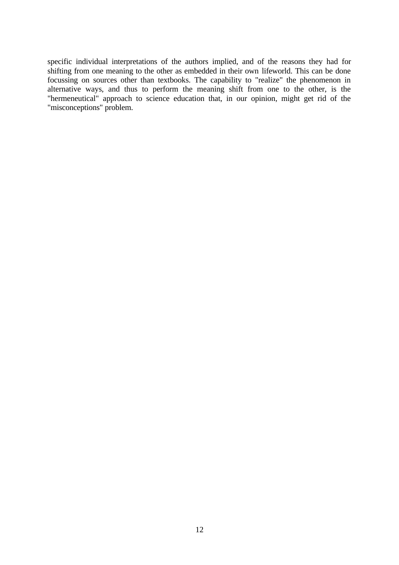specific individual interpretations of the authors implied, and of the reasons they had for shifting from one meaning to the other as embedded in their own lifeworld. This can be done focussing on sources other than textbooks. The capability to "realize" the phenomenon in alternative ways, and thus to perform the meaning shift from one to the other, is the "hermeneutical" approach to science education that, in our opinion, might get rid of the "misconceptions" problem.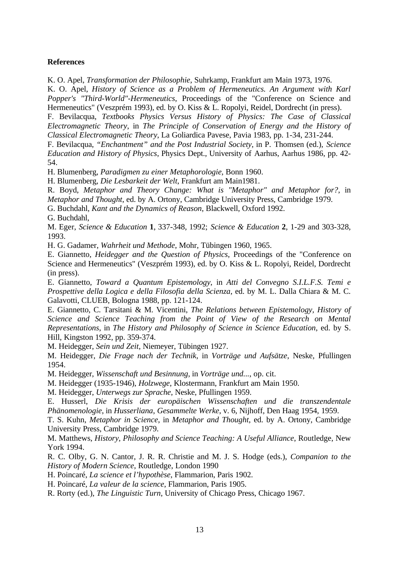### **References**

K. O. Apel, *Transformation der Philosophie*, Suhrkamp, Frankfurt am Main 1973, 1976.

K. O. Apel, *History of Science as a Problem of Hermeneutics. An Argument with Karl Popper's "Third-World"-Hermeneutics*, Proceedings of the "Conference on Science and Hermeneutics" (Veszprém 1993), ed. by O. Kiss & L. Ropolyi, Reidel, Dordrecht (in press).

F. Bevilacqua, *Textbooks Physics Versus History of Physics: The Case of Classical Electromagnetic Theory*, in *The Principle of Conservation of Energy and the History of Classical Electromagnetic Theory*, La Goliardica Pavese, Pavia 1983, pp. 1-34, 231-244.

F. Bevilacqua, *"Enchantment" and the Post Industrial Society*, in P. Thomsen (ed.), *Science Education and History of Physics*, Physics Dept., University of Aarhus, Aarhus 1986, pp. 42- 54.

H. Blumenberg, *Paradigmen zu einer Metaphorologie*, Bonn 1960.

H. Blumenberg, *Die Lesbarkeit der Welt*, Frankfurt am Main1981.

R. Boyd, *Metaphor and Theory Change: What is "Metaphor" and Metaphor for?*, in *Metaphor and Thought*, ed. by A. Ortony, Cambridge University Press, Cambridge 1979.

G. Buchdahl, *Kant and the Dynamics of Reason*, Blackwell, Oxford 1992.

G. Buchdahl,

M. Eger, *Science & Education* **1**, 337-348, 1992; *Science & Education* **2**, 1-29 and 303-328, 1993.

H. G. Gadamer, *Wahrheit und Methode*, Mohr, Tübingen 1960, 1965.

E. Giannetto, *Heidegger and the Question of Physics*, Proceedings of the "Conference on Science and Hermeneutics" (Veszprém 1993), ed. by O. Kiss & L. Ropolyi, Reidel, Dordrecht (in press).

E. Giannetto, *Toward a Quantum Epistemology*, in *Atti del Convegno S.I.L.F.S. Temi e Prospettive della Logica e della Filosofia della Scienza*, ed. by M. L. Dalla Chiara & M. C. Galavotti, CLUEB, Bologna 1988, pp. 121-124.

E. Giannetto, C. Tarsitani & M. Vicentini, *The Relations between Epistemology, History of Science and Science Teaching from the Point of View of the Research on Mental Representations*, in *The History and Philosophy of Science in Science Education*, ed. by S. Hill, Kingston 1992, pp. 359-374.

M. Heidegger, *Sein und Zeit*, Niemeyer, Tübingen 1927.

M. Heidegger, *Die Frage nach der Technik*, in *Vorträge und Aufsätze*, Neske, Pfullingen 1954.

M. Heidegger, *Wissenschaft und Besinnung*, in *Vorträge und...*, op. cit.

M. Heidegger (1935-1946), *Holzwege*, Klostermann, Frankfurt am Main 1950.

M. Heidegger, *Unterwegs zur Sprache*, Neske, Pfullingen 1959.

E. Husserl, *Die Krisis der europäischen Wissenschaften und die transzendentale Phänomenologie*, in *Husserliana*, *Gesammelte Werke*, v. 6, Nijhoff, Den Haag 1954, 1959.

T. S. Kuhn, *Metaphor in Science*, in *Metaphor and Thought*, ed. by A. Ortony, Cambridge University Press, Cambridge 1979.

M. Matthews, *History, Philosophy and Science Teaching: A Useful Alliance*, Routledge, New York 1994.

R. C. Olby, G. N. Cantor, J. R. R. Christie and M. J. S. Hodge (eds.), *Companion to the History of Modern Science*, Routledge, London 1990

H. Poincaré, *La science et l'hypothèse*, Flammarion, Paris 1902.

H. Poincaré, *La valeur de la science*, Flammarion, Paris 1905.

R. Rorty (ed.), *The Linguistic Turn*, University of Chicago Press, Chicago 1967.